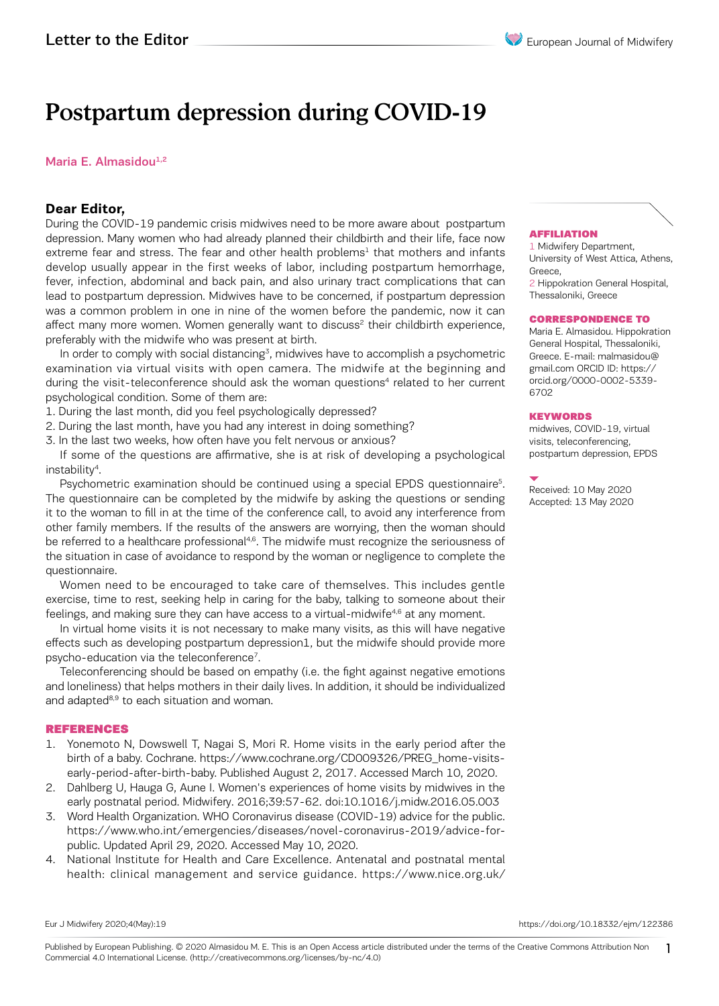# Postpartum depression during COVID-19

## Maria E. Almasidou $1,2$

# **Dear Editor,**

During the COVID-19 pandemic crisis midwives need to be more aware about postpartum depression. Many women who had already planned their childbirth and their life, face now extreme fear and stress. The fear and other health problems<sup>1</sup> that mothers and infants develop usually appear in the first weeks of labor, including postpartum hemorrhage, fever, infection, abdominal and back pain, and also urinary tract complications that can lead to postpartum depression. Midwives have to be concerned, if postpartum depression was a common problem in one in nine of the women before the pandemic, now it can affect many more women. Women generally want to discuss<sup>2</sup> their childbirth experience, preferably with the midwife who was present at birth.

In order to comply with social distancing<sup>3</sup>, midwives have to accomplish a psychometric examination via virtual visits with open camera. The midwife at the beginning and during the visit-teleconference should ask the woman questions<sup>4</sup> related to her current psychological condition. Some of them are:

- 1. During the last month, did you feel psychologically depressed?
- 2. During the last month, have you had any interest in doing something?
- 3. In the last two weeks, how often have you felt nervous or anxious?

If some of the questions are affirmative, she is at risk of developing a psychological instability4.

Psychometric examination should be continued using a special EPDS questionnaire<sup>5</sup>. The questionnaire can be completed by the midwife by asking the questions or sending it to the woman to fill in at the time of the conference call, to avoid any interference from other family members. If the results of the answers are worrying, then the woman should be referred to a healthcare professional<sup>4,6</sup>. The midwife must recognize the seriousness of the situation in case of avoidance to respond by the woman or negligence to complete the questionnaire.

Women need to be encouraged to take care of themselves. This includes gentle exercise, time to rest, seeking help in caring for the baby, talking to someone about their feelings, and making sure they can have access to a virtual-midwife<sup>4,6</sup> at any moment.

In virtual home visits it is not necessary to make many visits, as this will have negative effects such as developing postpartum depression1, but the midwife should provide more psycho-education via the teleconference<sup>7</sup>.

Teleconferencing should be based on empathy (i.e. the fight against negative emotions and loneliness) that helps mothers in their daily lives. In addition, it should be individualized and adapted<sup>8,9</sup> to each situation and woman.

### REFERENCES

- 1. Yonemoto N, Dowswell T, Nagai S, Mori R. Home visits in the early period after the birth of a baby. Cochrane. https://www.cochrane.org/CD009326/PREG\_home-visitsearly-period-after-birth-baby. Published August 2, 2017. Accessed March 10, 2020.
- 2. Dahlberg U, Hauga G, Aune I. Women's experiences of home visits by midwives in the early postnatal period. Midwifery. 2016;39:57-62. doi:10.1016/j.midw.2016.05.003
- 3. Word Health Organization. WHO Coronavirus disease (COVID-19) advice for the public. https://www.who.int/emergencies/diseases/novel-coronavirus-2019/advice-forpublic. Updated April 29, 2020. Accessed May 10, 2020.
- 4. National Institute for Health and Care Excellence. Antenatal and postnatal mental health: clinical management and service guidance. https://www.nice.org.uk/

#### AFFILIATION

1 Midwifery Department, University of West Attica, Athens, Greece,

2 Hippokration General Hospital, Thessaloniki, Greece

#### CORRESPONDENCE TO

Maria E. Almasidou. Hippokration General Hospital, Thessaloniki, Greece. E-mail: malmasidou@ gmail.com ORCID ID: https:// orcid.org/0000-0002-5339- 6702

#### **KEYWORDS**

midwives, COVID-19, virtual visits, teleconferencing, postpartum depression, EPDS

Received: 10 May 2020 Accepted: 13 May 2020

Eur J Midwifery 2020;4(May):19 https://doi.org/10.18332/ejm/122386